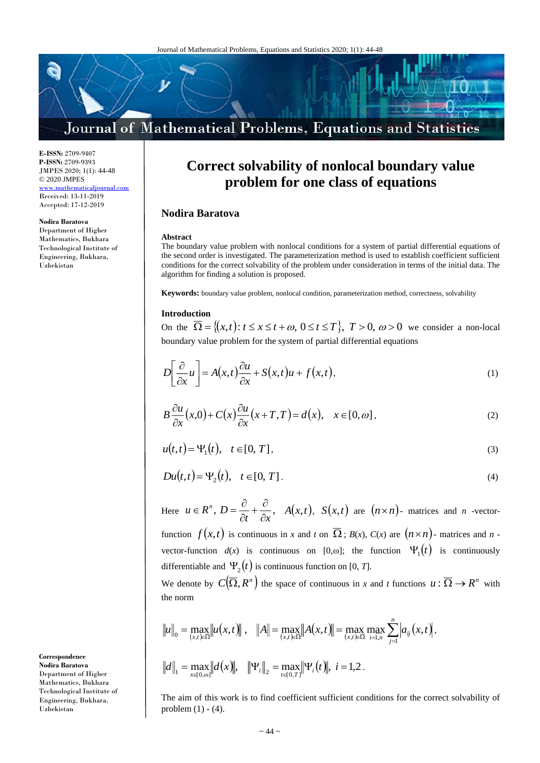# Journal of Mathematical Problems, Equations and Statistics

**E-ISSN:** 2709-9407 **P-ISSN:** 2709-9393 JMPES 2020; 1(1): 44-48 © 2020 JMPES <www.mathematicaljournal.com> Received: 13-11-2019 Accepted: 17-12-2019

### **Nodira Baratova**

Department of Higher Mathematics, Bukhara Technological Institute of Engineering, Bukhara, Uzbekistan

**Correct solvability of nonlocal boundary value problem for one class of equations**

# **Nodira Baratova**

#### **Abstract**

The boundary value problem with nonlocal conditions for a system of partial differential equations of the second order is investigated. The parameterization method is used to establish coefficient sufficient conditions for the correct solvability of the problem under consideration in terms of the initial data. The algorithm for finding a solution is proposed.

**Keywords:** boundary value problem, nonlocal condition, parameterization method, correctness, solvability

## **Introduction**

On the  $\overline{\Omega} = \{(x, t): t \le x \le t + \omega, 0 \le t \le T\}$ ,  $T > 0$ ,  $\omega > 0$  we consider a non-local boundary value problem for the system of partial differential equations

$$
D\left[\frac{\partial}{\partial x}u\right] = A(x,t)\frac{\partial u}{\partial x} + S(x,t)u + f(x,t),
$$
\n(1)

$$
B\frac{\partial u}{\partial x}(x,0) + C(x)\frac{\partial u}{\partial x}(x+T,T) = d(x), \quad x \in [0,\omega],
$$
\n(2)

$$
u(t,t) = \Psi_1(t), \quad t \in [0, T], \tag{3}
$$

$$
Du(t,t) = \Psi_2(t), \quad t \in [0, T].
$$
 (4)

Here  $u \in R^n$ ,  $D = \frac{1}{\partial t} + \frac{1}{\partial x}$ ,  $u \in R^n$  .  $D$ õ  $\frac{\partial}{\partial t} + \frac{\partial}{\partial z}$  $A \in \mathbb{R}^n$ ,  $D = \frac{\partial}{\partial x} + \frac{\partial}{\partial y}$ ,  $A(x,t)$ ,  $S(x,t)$  are  $(n \times n)$ - matrices and *n*-vector-

function  $f(x,t)$  is continuous in *x* and *t* on  $\overline{\Omega}$ ; *B(x), C(x)* are  $(n \times n)$ - matrices and *n* vector-function  $d(x)$  is continuous on [0, $\omega$ ]; the function  $\Psi_1(t)$  is continuously differentiable and  $\Psi_2(t)$  is continuous function on [0, *T*].

We denote by  $C(\overline{\Omega}, R^n)$  the space of continuous in *x* and *t* functions  $u : \overline{\Omega} \to R^n$  with the norm

$$
||u||_0 = \max_{(x,t)\in\overline{\Omega}} ||u(x,t)||, \quad ||A|| = \max_{(x,t)\in\overline{\Omega}} ||A(x,t)|| = \max_{(x,t)\in\overline{\Omega}} \max_{i=1,n} \sum_{j=1}^n |a_{ij}(x,t)|,
$$
  

$$
||d||_1 = \max_{x\in[0,\infty]} ||d(x)||, \quad ||\Psi_i||_2 = \max_{t\in[0,T]} ||\Psi_i(t)||, \quad i=1,2.
$$

The aim of this work is to find coefficient sufficient conditions for the correct solvability of problem  $(1) - (4)$ .

**Correspondence Nodira Baratova** Department of Higher Mathematics, Bukhara Technological Institute of Engineering, Bukhara, Uzbekistan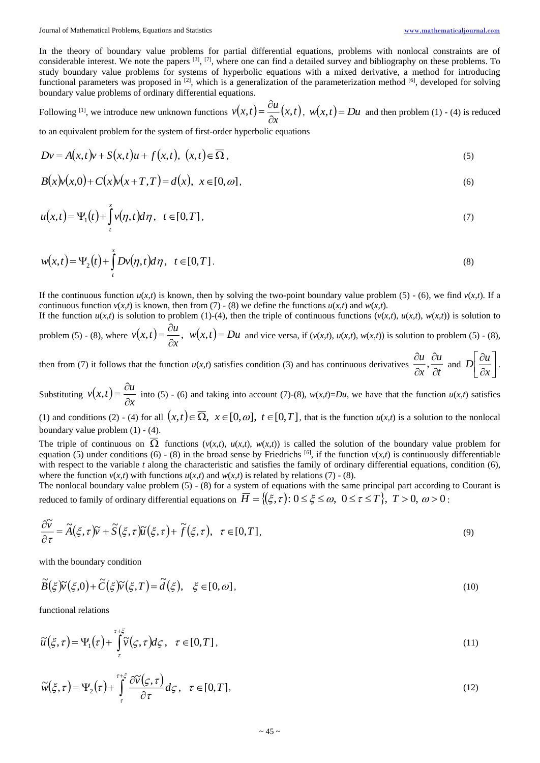In the theory of boundary value problems for partial differential equations, problems with nonlocal constraints are of considerable interest. We note the papers  $\left[3\right]$ ,  $\left[7\right]$ , where one can find a detailed survey and bibliography on these problems. To study boundary value problems for systems of hyperbolic equations with a mixed derivative, a method for introducing functional parameters was proposed in <sup>[2]</sup>, which is a generalization of the parameterization method <sup>[6]</sup>, developed for solving boundary value problems of ordinary differential equations.

Following <sup>[1]</sup>, we introduce new unknown functions  $v(x,t) = \frac{\partial u}{\partial x}(x,t)$  $v(x,t) = \frac{\partial u}{\partial x}(x,$  $=\frac{\partial u}{\partial x}(x,t)$ ,  $w(x,t)=Du$  and then problem (1) - (4) is reduced

to an equivalent problem for the system of first-order hyperbolic equations

$$
Dv = A(x,t)v + S(x,t)u + f(x,t), \ (x,t) \in \overline{\Omega}, \tag{5}
$$

$$
B(x)v(x,0) + C(x)v(x+T,T) = d(x), \quad x \in [0,\omega],
$$
\n(6)

$$
u(x,t) = \Psi_1(t) + \int_{t}^{x} v(\eta, t) d\eta, \quad t \in [0, T],
$$
\n(7)

$$
w(x,t) = \Psi_2(t) + \int_t^x Dv(\eta, t) d\eta, \quad t \in [0, T].
$$
\n(8)

If the continuous function  $u(x,t)$  is known, then by solving the two-point boundary value problem (5) - (6), we find  $v(x,t)$ . If a continuous function  $v(x,t)$  is known, then from (7) - (8) we define the functions  $u(x,t)$  and  $w(x,t)$ .

If the function  $u(x,t)$  is solution to problem (1)-(4), then the triple of continuous functions  $(v(x,t), u(x,t), w(x,t))$  is solution to д

problem (5) - (8), where  $v(x,t) = \frac{\partial u}{\partial x}$ ,  $w(x,t) = Du$  $v(x,t) = \frac{\partial u}{\partial x}, \quad w(x,t) =$  $\mathbf{u}(t,t) = \frac{\mathbf{v}(t)}{t}$ ,  $w(x,t) = Du$  and vice versa, if  $(v(x,t), u(x,t), w(x,t))$  is solution to problem (5) - (8),

then from (7) it follows that the function  $u(x,t)$  satisfies condition (3) and has continuous derivatives  $\frac{\partial u}{\partial x}$ ,  $\frac{\partial u}{\partial t}$ *u x u* õ õ õ õ  $\frac{\partial}{\partial t}$  and  $D\left[\frac{\partial}{\partial x}\right]$  $\overline{\phantom{a}}$ 1  $\overline{\phantom{a}}$ Γ д õ *x*  $D\left|\frac{ou}{2}\right|$ .

Substituting  $v(x,t) = \frac{\partial u}{\partial x}$ *x* д  $i, t$  =  $\frac{d}{dt}$  into (5) - (6) and taking into account (7)-(8),  $w(x,t) = Du$ , we have that the function  $u(x,t)$  satisfies

(1) and conditions (2) - (4) for all  $(x,t) \in \overline{\Omega}$ ,  $x \in [0,\omega]$ ,  $t \in [0,T]$ , that is the function  $u(x,t)$  is a solution to the nonlocal boundary value problem (1) - (4).

The triple of continuous on  $\Omega$  functions  $(v(x,t), u(x,t), w(x,t))$  is called the solution of the boundary value problem for equation (5) under conditions (6) - (8) in the broad sense by Friedrichs <sup>[6]</sup>, if the function  $v(x,t)$  is continuously differentiable with respect to the variable *t* along the characteristic and satisfies the family of ordinary differential equations, condition (6), where the function  $v(x,t)$  with functions  $u(x,t)$  and  $w(x,t)$  is related by relations (7) - (8).

The nonlocal boundary value problem (5) - (8) for a system of equations with the same principal part according to Courant is reduced to family of ordinary differential equations on  $\overline{H} = \{(\xi, \tau): 0 \leq \xi \leq \omega, \,\, 0 \leq \tau \leq T\}, \,\, T > 0, \,\, \omega > 0$  :

$$
\frac{\partial \widetilde{v}}{\partial \tau} = \widetilde{A}(\xi, \tau) \widetilde{v} + \widetilde{S}(\xi, \tau) \widetilde{u}(\xi, \tau) + \widetilde{f}(\xi, \tau), \quad \tau \in [0, T], \tag{9}
$$

with the boundary condition

$$
\widetilde{B}(\xi)\widetilde{v}(\xi,0) + \widetilde{C}(\xi)\widetilde{v}(\xi,T) = \widetilde{d}(\xi), \quad \xi \in [0,\omega],
$$
\n(10)

functional relations

$$
\widetilde{u}(\xi,\tau) = \Psi_1(\tau) + \int_{\tau}^{\tau+\xi} \widetilde{v}(\zeta,\tau) d\zeta, \quad \tau \in [0,T],
$$
\n(11)

$$
\widetilde{w}(\xi,\tau) = \Psi_2(\tau) + \int_{\tau}^{\tau+\xi} \frac{\partial \widetilde{v}(\zeta,\tau)}{\partial \tau} d\zeta, \quad \tau \in [0,T],
$$
\n(12)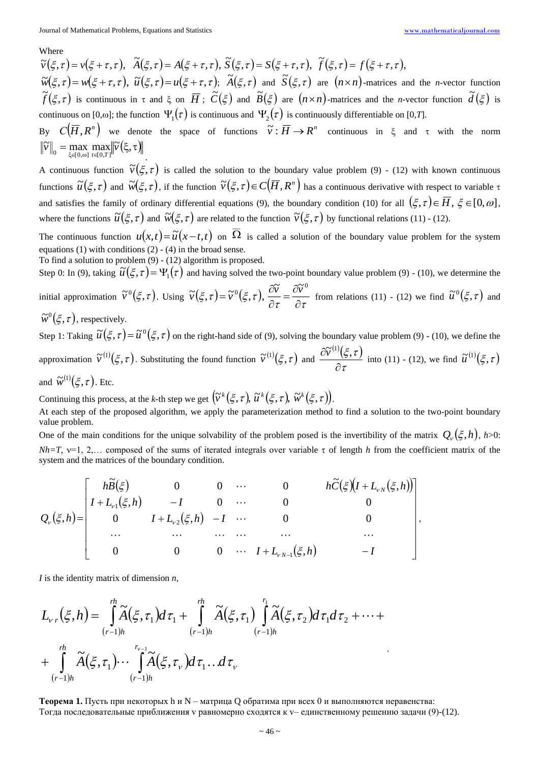### Where

 $(\xi,\tau)=v(\xi+\tau,\tau),\ \ \widetilde{A}(\xi,\tau)=A(\xi+\tau,\tau),\ \widetilde{S}(\xi,\tau)=S(\xi+\tau,\tau),\ \ \widetilde{f}(\xi,\tau)=f(\xi+\tau,\tau),$  $(\tau) = A(\xi + \tau, \tau), \tilde{S}$  $\widetilde{v}(\xi,\tau) = v(\xi+\tau,\tau), \ \ \widetilde{A}(\xi,\tau) = A(\xi+\tau,\tau), \ \widetilde{S}(\xi,\tau) = S(\xi+\tau,\tau), \ \ \widetilde{f}(\xi,\tau) = f(\xi+\tau,\tau)$  $\widetilde{w}(\xi,\tau) = w(\xi+\tau,\tau), \ \widetilde{u}(\xi,\tau) = u(\xi+\tau,\tau); \ \widetilde{A}(\xi,\tau) \text{ and } \widetilde{S}(\xi,\tau) \text{ are } (n \times n) \text{-matrices and the } n \text{-vector function}.$  $\widetilde{f}(\xi,\tau)$  is continuous in  $\tau$  and  $\xi$  on  $\overline{H}$ ;  $\widetilde{C}(\xi)$  and  $\widetilde{B}(\xi)$  are  $(n\times n)$ -matrices and the *n*-vector function  $\widetilde{d}(\xi)$  is continuous on [0, $\omega$ ]; the function  $\,\Psi_{_1}\!(\tau)\,$  is continuous and  $\,\Psi_{_2}\!(\tau)\,$  is continuously differentiable on [0,7].

By  $C(\overline{H}, R^n)$  we denote the space of functions  $\widetilde{v}: \overline{H} \to R^n$  continuous in  $\xi$  and  $\tau$  with the norm  $\left\| \widetilde{v} \right\|_0 = \max_{\xi \in [0,\omega]} \max_{t \in [0,T]} \left\| \widetilde{v}(\xi,\tau) \right\|_0$ .

A continuous function  $\tilde{v}(\xi, \tau)$  is called the solution to the boundary value problem (9) - (12) with known continuous functions  $\widetilde{u}(\xi,\tau)$  and  $\widetilde{w}(\xi,\tau)$ , if the function  $\widetilde{v}(\xi,\tau)\!\in\! C\big(\overline{H},R^n\big)$  has a continuous derivative with respect to variable  $\tau$ and satisfies the family of ordinary differential equations (9), the boundary condition (10) for all  $(\xi, \tau) \in \overline{H}$ ,  $\xi \in [0, \omega]$ , where the functions  $\widetilde{u}(\xi,\tau)$  and  $\widetilde{w}(\xi,\tau)$  are related to the function  $\widetilde{v}(\xi,\tau)$  by functional relations (11) - (12).

The continuous function  $u(x,t) = \tilde{u}(x-t,t)$  on  $\overline{\Omega}$  is called a solution of the boundary value problem for the system equations  $(1)$  with conditions  $(2)$  -  $(4)$  in the broad sense.

To find a solution to problem (9) - (12) algorithm is proposed.

Step 0: In (9), taking  $\tilde{u}(\xi, \tau) = \Psi_1(\tau)$  and having solved the two-point boundary value problem (9) - (10), we determine the

initial approximation  $\tilde{v}^0(\xi, \tau)$ . Using  $\tilde{v}(\xi, \tau) = \tilde{v}^0(\xi, \tau)$ ,  $\frac{\partial v}{\partial \tau} = \frac{\partial v}{\partial \tau}$  $\frac{\partial \widetilde{v}}{\partial \tau} = \frac{\partial}{\partial \tau}$  $=\widetilde{v}^0(\xi,\tau), \frac{\partial}{\partial \tau}$  $\partial V = \partial \widetilde{V} - \partial \widetilde{V}^0$  $\widetilde{v}(\xi,\tau) = \widetilde{v}^0(\xi,\tau), \ \frac{\partial v}{\partial t} = \frac{\partial v}{\partial \tau}$  from relations (11) - (12) we find  $\widetilde{u}^0(\xi,\tau)$  and

 $\widetilde{w}^0(\xi, \tau)$ , respectively.

Step 1: Taking  $\tilde{u}(\xi, \tau) = \tilde{u}^0(\xi, \tau)$  on the right-hand side of (9), solving the boundary value problem (9) - (10), we define the approximation  $\tilde{v}^{(1)}(\xi, \tau)$ . Substituting the found function  $\tilde{v}^{(1)}(\xi, \tau)$  and  $^{(1)}(\xi,\tau)$  $\tau$  $\xi,\tau$ д  $\frac{\partial \widetilde{v}^{(1)}(\xi,\tau)}{\partial \widetilde{v}^{(1)}}$  into (11) - (12), we find  $\widetilde{u}^{(1)}(\xi,\tau)$ 

and  $\widetilde{w}^{(1)}(\xi,\tau)$ . Etc.

Continuing this process, at the *k*-th step we get  $\left(\widetilde{v}^k(\xi,\tau),\,\widetilde{u}^k(\xi,\tau),\,\widetilde{w}^k(\xi,\tau)\right)$ .

At each step of the proposed algorithm, we apply the parameterization method to find a solution to the two-point boundary value problem.

One of the main conditions for the unique solvability of the problem posed is the invertibility of the matrix  $Q_{\nu}(\xi, h)$ ,  $h > 0$ :  $Nh = T$ ,  $v=1$ , 2,... composed of the sums of iterated integrals over variable  $\tau$  of length *h* from the coefficient matrix of the system and the matrices of the boundary condition.

$$
Q_{\nu}(\xi,h) = \begin{bmatrix} h\widetilde{B}(\xi) & 0 & 0 & \cdots & 0 & h\widetilde{C}(\xi)(I + L_{\nu N}(\xi,h)) \\ I + L_{\nu 1}(\xi,h) & -I & 0 & \cdots & 0 & 0 \\ 0 & I + L_{\nu 2}(\xi,h) & -I & \cdots & 0 & 0 \\ \cdots & \cdots & \cdots & \cdots & \cdots & \cdots \\ 0 & 0 & 0 & \cdots & I + L_{\nu N-1}(\xi,h) & -I \end{bmatrix},
$$

*I* is the identity matrix of dimension *n*,

$$
L_{v,r}(\xi,h) = \int_{(r-1)h}^{rh} \widetilde{A}(\xi,\tau_1) d\tau_1 + \int_{(r-1)h}^{rh} \widetilde{A}(\xi,\tau_1) \int_{(r-1)h}^{r_1} \widetilde{A}(\xi,\tau_2) d\tau_1 d\tau_2 + \cdots + \int_{(r-1)h}^{rh} \widetilde{A}(\xi,\tau_1) \cdots \int_{(r-1)h}^{r_{v-1}} \widetilde{A}(\xi,\tau_v) d\tau_1 \ldots d\tau_v
$$

**Теорема 1.** Пусть при некоторых h и N – матрица Q обратима при всех 0 и выполняются неравенства: Тогда последовательные приближения v равномерно сходятся к v– единственному решению задачи (9)-(12).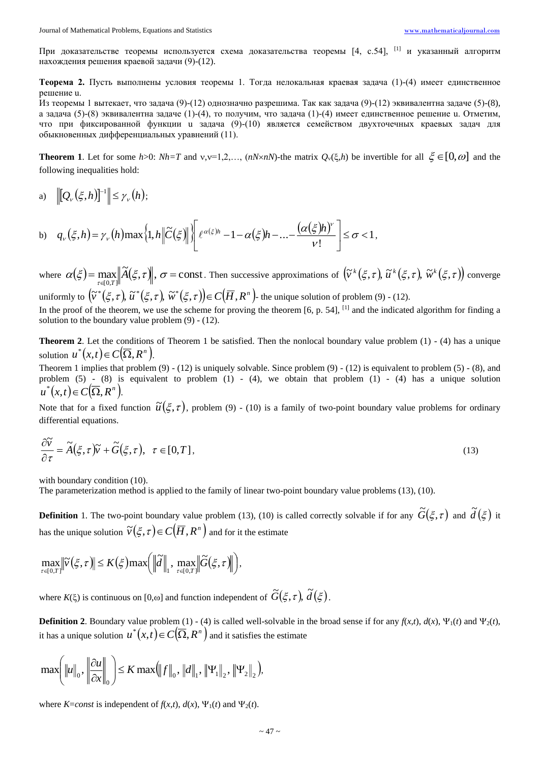При доказательстве теоремы используется схема доказательства теоремы [4, с.54]. <sup>[1]</sup> и указанный алгоритм нахождения решения краевой задачи (9)-(12).

Теорема 2. Пусть выполнены условия теоремы 1. Тогда нелокальная краевая задача (1)-(4) имеет единственное решение и.

Из теоремы 1 вытекает, что задача (9)-(12) однозначно разрешима. Так как задача (9)-(12) эквивалентна задаче (5)-(8), а задача (5)-(8) эквивалентна задаче (1)-(4), то получим, что задача (1)-(4) имеет единственное решение и. Отметим, что при фиксированной функции и задача (9)-(10) является семейством двухточечных краевых задач для обыкновенных дифференциальных уравнений (11).

**Theorem 1.** Let for some  $h>0$ :  $Nh=T$  and  $v,v=1,2,...$ ,  $(nN\times nN)$ -the matrix  $Q_v(\xi,h)$  be invertible for all  $\xi \in [0,\omega]$  and the following inequalities hold:

 $\|Q_{\nu}(\xi,h)\|^{-1}\| \leq \gamma_{\nu}(h);$  $a)$ 

b) 
$$
q_v(\xi, h) = \gamma_v(h) \max\left\{1, h \middle\|\widetilde{C}(\xi)\right\}\left\{e^{\alpha(\xi)h} - 1 - \alpha(\xi)h - \dots - \frac{(\alpha(\xi)h)^v}{v!}\right\} \le \sigma < 1,
$$

where  $\alpha(\xi) = \max_{\tau \in [0,T]} ||\widetilde{A}(\xi,\tau)||$ ,  $\sigma = \text{const.}$  Then successive approximations of  $(\widetilde{v}^k(\xi,\tau), \widetilde{u}^k(\xi,\tau), \widetilde{w}^k(\xi,\tau))$  converge uniformly to  $(\tilde{v}^*(\xi,\tau), \tilde{u}^*(\xi,\tau), \tilde{w}^*(\xi,\tau)) \in C(\overline{H}, R^n)$ - the unique solution of problem (9) - (12).

In the proof of the theorem, we use the scheme for proving the theorem  $[6, p. 54]$ ,  $[1]$  and the indicated algorithm for finding a solution to the boundary value problem  $(9) - (12)$ .

**Theorem 2.** Let the conditions of Theorem 1 be satisfied. Then the nonlocal boundary value problem  $(1)$  -  $(4)$  has a unique solution  $u^*(x,t) \in C(\overline{\Omega}, R^n)$ .

Theorem 1 implies that problem  $(9) - (12)$  is uniquely solvable. Since problem  $(9) - (12)$  is equivalent to problem  $(5) - (8)$ , and problem  $(5)$  -  $(8)$  is equivalent to problem  $(1)$  -  $(4)$ , we obtain that problem  $(1)$  -  $(4)$  has a unique solution  $u^*(x,t) \in C(\overline{\Omega}, R^n)$ .

Note that for a fixed function  $\tilde{u}(\xi, \tau)$ , problem (9) - (10) is a family of two-point boundary value problems for ordinary differential equations.

$$
\frac{\partial \tilde{v}}{\partial \tau} = \tilde{A}(\xi, \tau)\tilde{v} + \tilde{G}(\xi, \tau), \quad \tau \in [0, T],
$$
\n(13)

with boundary condition (10).

The parameterization method is applied to the family of linear two-point boundary value problems (13), (10).

**Definition** 1. The two-point boundary value problem (13), (10) is called correctly solvable if for any  $\tilde{G}(\xi, \tau)$  and  $\tilde{d}(\xi)$  it has the unique solution  $\tilde{v}(\xi,\tau) \in C(\overline{H},R^n)$  and for it the estimate

$$
\max_{\tau\in(0,T]}\big\|\widetilde{\nu}(\xi,\tau)\big\|\leq K(\xi)\max\bigg(\big\|\widetilde{d}\big\|_1,\ \max_{\tau\in(0,T]}\big\|\widetilde{G}(\xi,\tau)\big\|\bigg),
$$

where  $K(\xi)$  is continuous on [0, $\omega$ ] and function independent of  $\tilde{G}(\xi, \tau)$ ,  $\tilde{d}(\xi)$ .

**Definition 2.** Boundary value problem (1) - (4) is called well-solvable in the broad sense if for any  $f(x,t)$ ,  $d(x)$ ,  $\Psi_1(t)$  and  $\Psi_2(t)$ , it has a unique solution  $u^*(x,t) \in C(\overline{\Omega}, R^n)$  and it satisfies the estimate

$$
\max\!\left(\|u\|_0, \left\|\frac{\partial u}{\partial x}\right\|_0\right)\le K \max\!\left(\|f\|_0, \|d\|_1, \left\|\Psi_1\right\|_2, \left\|\Psi_2\right\|_2\right),
$$

where *K*=*const* is independent of  $f(x,t)$ ,  $d(x)$ ,  $\Psi_1(t)$  and  $\Psi_2(t)$ .